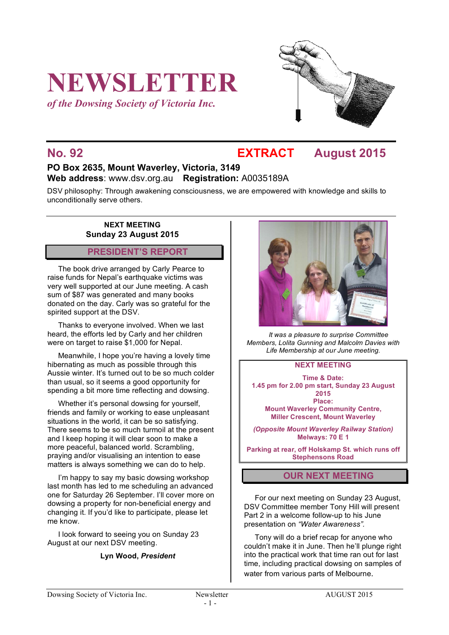# **NEWSLETTER**

*of the Dowsing Society of Victoria Inc.*



# **No. 92 EXTRACT August 2015**

## **PO Box 2635, Mount Waverley, Victoria, 3149 Web address**: www.dsv.org.au **Registration:** A0035189A

DSV philosophy: Through awakening consciousness, we are empowered with knowledge and skills to unconditionally serve others.

#### **NEXT MEETING Sunday 23 August 2015**

#### **PRESIDENT'S REPORT**

The book drive arranged by Carly Pearce to raise funds for Nepal's earthquake victims was very well supported at our June meeting. A cash sum of \$87 was generated and many books donated on the day. Carly was so grateful for the spirited support at the DSV.

Thanks to everyone involved. When we last heard, the efforts led by Carly and her children were on target to raise \$1,000 for Nepal.

Meanwhile, I hope you're having a lovely time hibernating as much as possible through this Aussie winter. It's turned out to be so much colder than usual, so it seems a good opportunity for spending a bit more time reflecting and dowsing.

Whether it's personal dowsing for yourself, friends and family or working to ease unpleasant situations in the world, it can be so satisfying. There seems to be so much turmoil at the present and I keep hoping it will clear soon to make a more peaceful, balanced world. Scrambling, praying and/or visualising an intention to ease matters is always something we can do to help.

I'm happy to say my basic dowsing workshop last month has led to me scheduling an advanced one for Saturday 26 September. I'll cover more on dowsing a property for non-beneficial energy and changing it. If you'd like to participate, please let me know.

I look forward to seeing you on Sunday 23 August at our next DSV meeting.

#### **Lyn Wood,** *President*



*It was a pleasure to surprise Committee Members, Lolita Gunning and Malcolm Davies with Life Membership at our June meeting.*

#### **NEXT MEETING**

**Time & Date: 1.45 pm for 2.00 pm start, Sunday 23 August 2015 Place: Mount Waverley Community Centre,**

**Miller Crescent, Mount Waverley**

*(Opposite Mount Waverley Railway Station)* **Melways: 70 E 1**

**Parking at rear, off Holskamp St. which runs off Stephensons Road**

#### **OUR NEXT MEETING**

For our next meeting on Sunday 23 August, DSV Committee member Tony Hill will present Part 2 in a welcome follow-up to his June presentation on *"Water Awareness".*

Tony will do a brief recap for anyone who couldn't make it in June. Then he'll plunge right into the practical work that time ran out for last time, including practical dowsing on samples of water from various parts of Melbourne.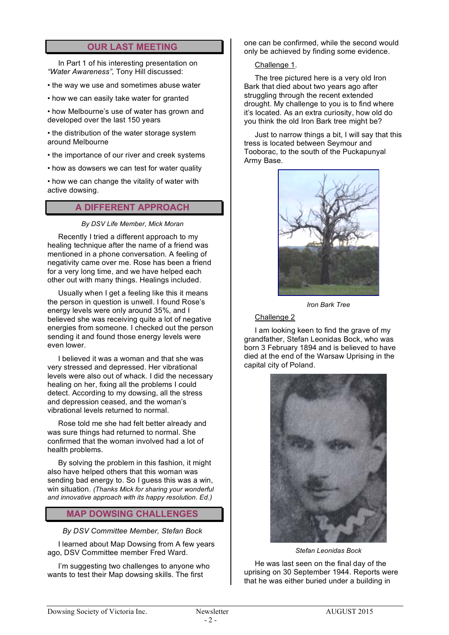### **OUR LAST MEETING**

In Part 1 of his interesting presentation on *"Water Awareness",* Tony Hill discussed:

- the way we use and sometimes abuse water
- how we can easily take water for granted

• how Melbourne's use of water has grown and developed over the last 150 years

• the distribution of the water storage system around Melbourne

- the importance of our river and creek systems
- how as dowsers we can test for water quality

• how we can change the vitality of water with active dowsing.

#### **A DIFFERENT APPROACH**

*By DSV Life Member, Mick Moran*

Recently I tried a different approach to my healing technique after the name of a friend was mentioned in a phone conversation. A feeling of negativity came over me. Rose has been a friend for a very long time, and we have helped each other out with many things. Healings included.

Usually when I get a feeling like this it means the person in question is unwell. I found Rose's energy levels were only around 35%, and I believed she was receiving quite a lot of negative energies from someone. I checked out the person sending it and found those energy levels were even lower.

I believed it was a woman and that she was very stressed and depressed. Her vibrational levels were also out of whack. I did the necessary healing on her, fixing all the problems I could detect. According to my dowsing, all the stress and depression ceased, and the woman's vibrational levels returned to normal.

Rose told me she had felt better already and was sure things had returned to normal. She confirmed that the woman involved had a lot of health problems.

By solving the problem in this fashion, it might also have helped others that this woman was sending bad energy to. So I guess this was a win, win situation. *(Thanks Mick for sharing your wonderful and innovative approach with its happy resolution. Ed.)*

#### **MAP DOWSING CHALLENGES**

#### *By DSV Committee Member, Stefan Bock*

I learned about Map Dowsing from A few years ago, DSV Committee member Fred Ward.

I'm suggesting two challenges to anyone who wants to test their Map dowsing skills. The first

one can be confirmed, while the second would only be achieved by finding some evidence.

#### Challenge 1.

The tree pictured here is a very old Iron Bark that died about two years ago after struggling through the recent extended drought. My challenge to you is to find where it's located. As an extra curiosity, how old do you think the old Iron Bark tree might be?

Just to narrow things a bit, I will say that this tress is located between Seymour and Tooborac, to the south of the Puckapunyal Army Base.



*Iron Bark Tree*

#### Challenge 2

I am looking keen to find the grave of my grandfather, Stefan Leonidas Bock, who was born 3 February 1894 and is believed to have died at the end of the Warsaw Uprising in the capital city of Poland.



*Stefan Leonidas Bock*

He was last seen on the final day of the uprising on 30 September 1944. Reports were that he was either buried under a building in